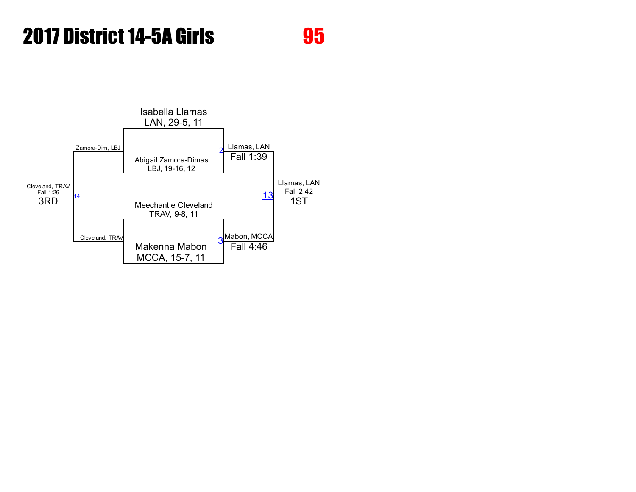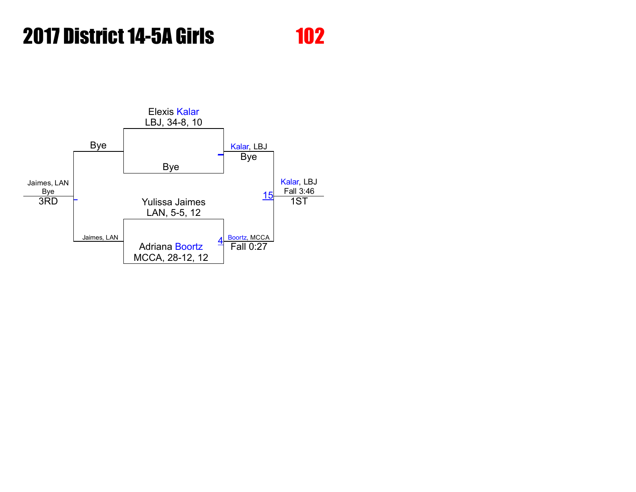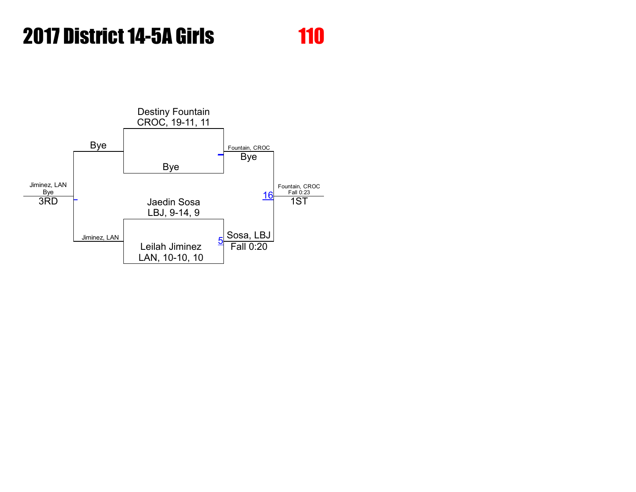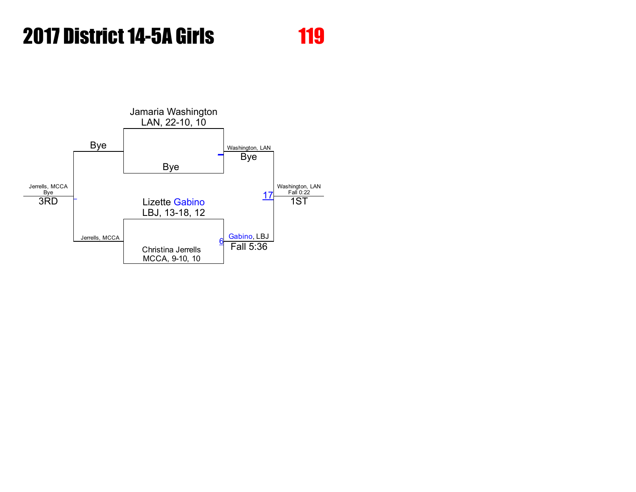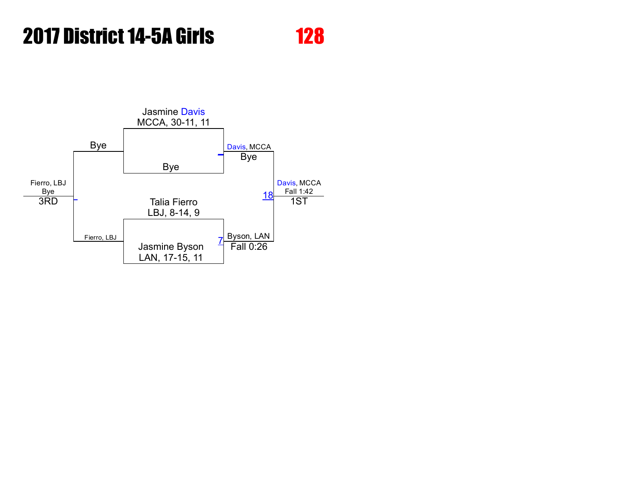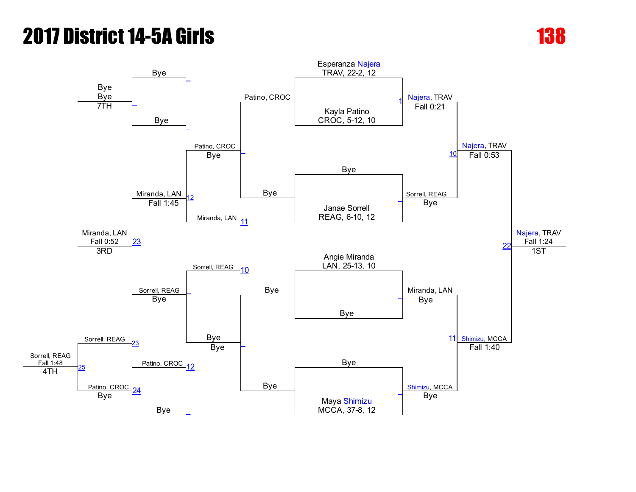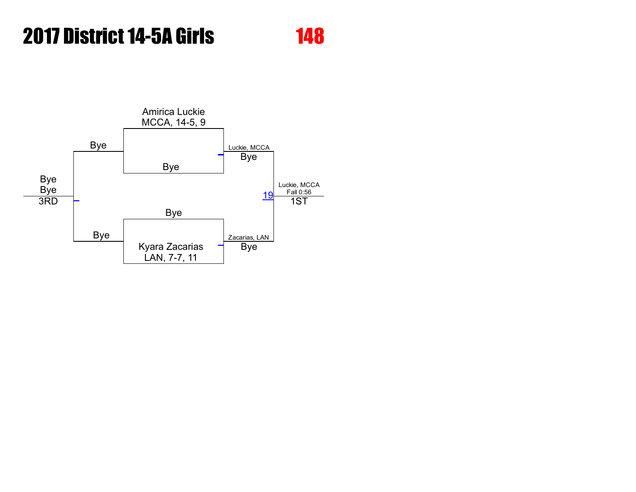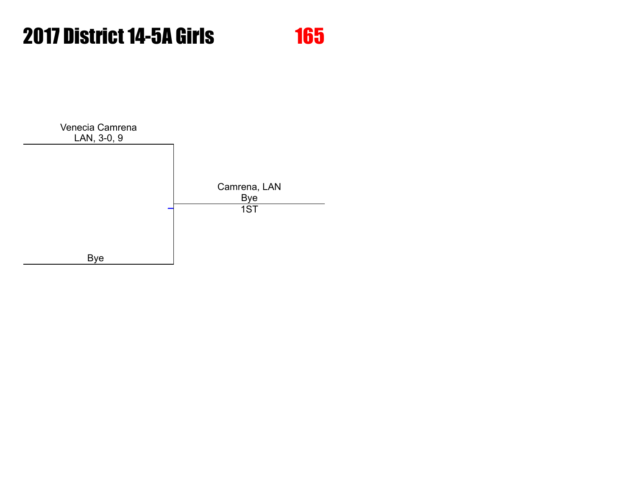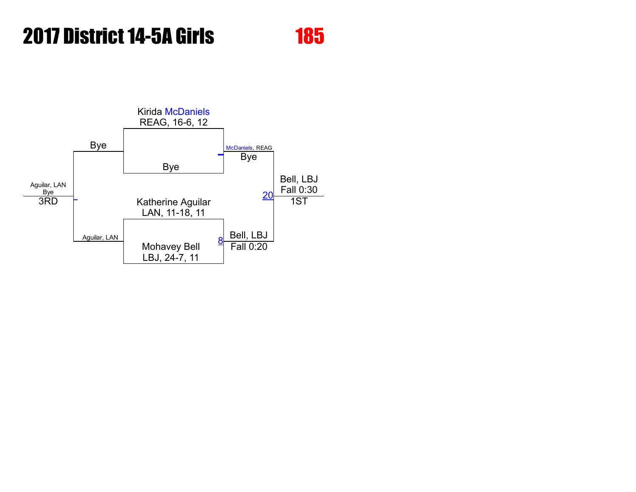